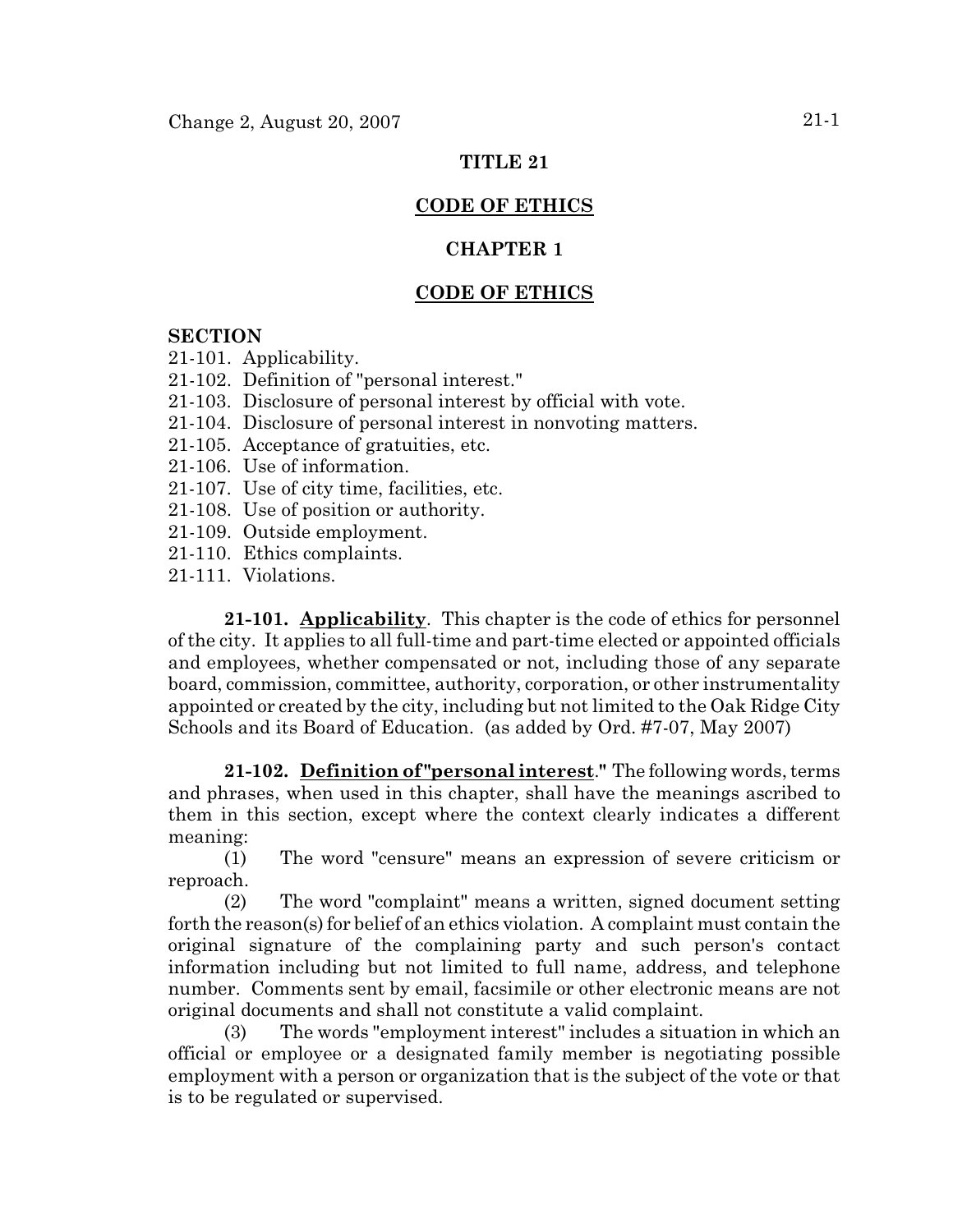### **TITLE 21**

# **CODE OF ETHICS**

## **CHAPTER 1**

# **CODE OF ETHICS**

### **SECTION**

21-101. Applicability.

- 21-102. Definition of "personal interest."
- 21-103. Disclosure of personal interest by official with vote.
- 21-104. Disclosure of personal interest in nonvoting matters.
- 21-105. Acceptance of gratuities, etc.
- 21-106. Use of information.
- 21-107. Use of city time, facilities, etc.
- 21-108. Use of position or authority.
- 21-109. Outside employment.
- 21-110. Ethics complaints.
- 21-111. Violations.

**21-101. Applicability**. This chapter is the code of ethics for personnel of the city. It applies to all full-time and part-time elected or appointed officials and employees, whether compensated or not, including those of any separate board, commission, committee, authority, corporation, or other instrumentality appointed or created by the city, including but not limited to the Oak Ridge City Schools and its Board of Education. (as added by Ord. #7-07, May 2007)

**21-102. Definition of "personal interest**.**"** The following words, terms and phrases, when used in this chapter, shall have the meanings ascribed to them in this section, except where the context clearly indicates a different meaning:

(1) The word "censure" means an expression of severe criticism or reproach.

(2) The word "complaint" means a written, signed document setting forth the reason(s) for belief of an ethics violation. A complaint must contain the original signature of the complaining party and such person's contact information including but not limited to full name, address, and telephone number. Comments sent by email, facsimile or other electronic means are not original documents and shall not constitute a valid complaint.

(3) The words "employment interest" includes a situation in which an official or employee or a designated family member is negotiating possible employment with a person or organization that is the subject of the vote or that is to be regulated or supervised.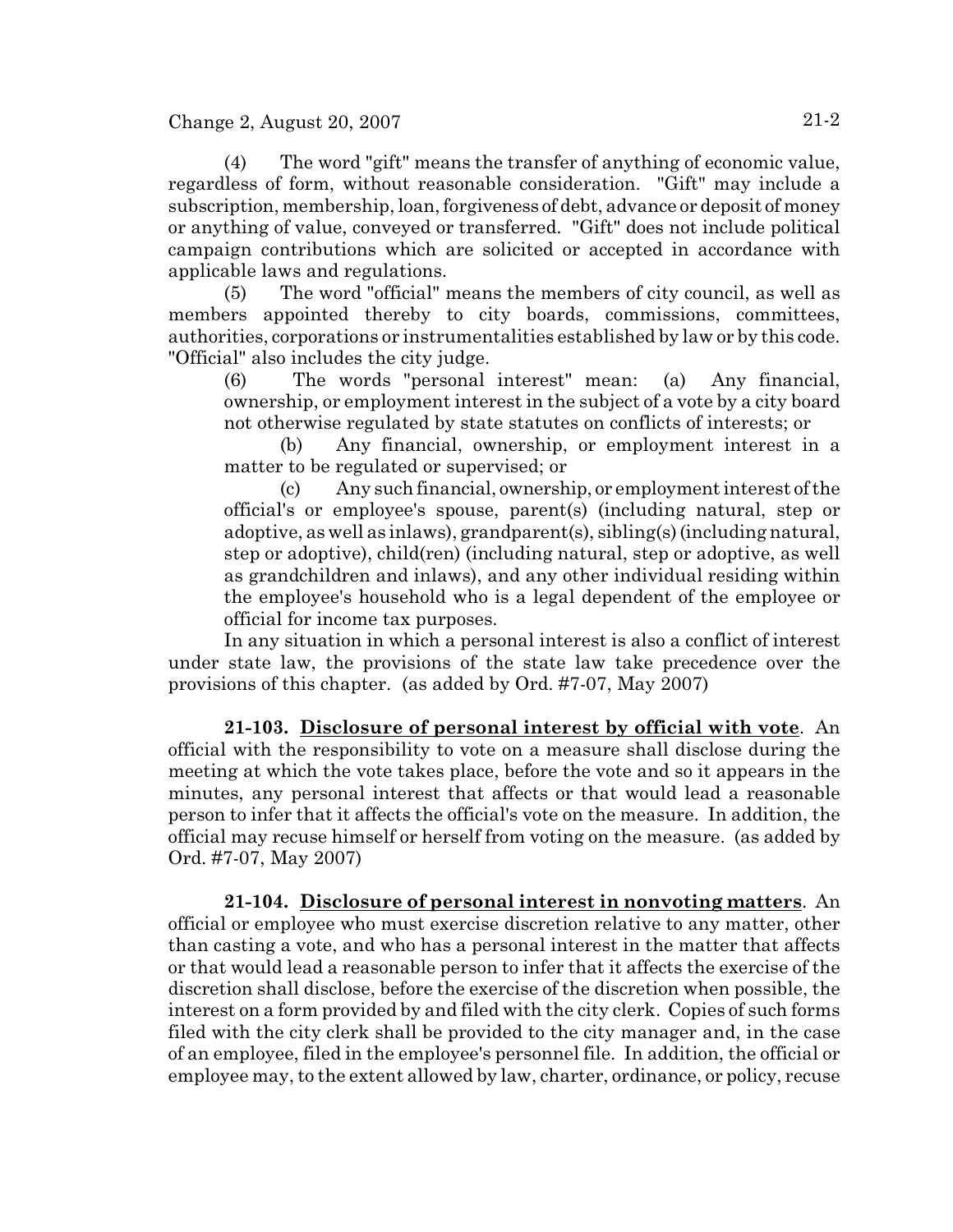Change 2, August 20, 2007 21-2

(4) The word "gift" means the transfer of anything of economic value, regardless of form, without reasonable consideration. "Gift" may include a subscription, membership, loan, forgiveness of debt, advance or deposit of money or anything of value, conveyed or transferred. "Gift" does not include political campaign contributions which are solicited or accepted in accordance with applicable laws and regulations.

(5) The word "official" means the members of city council, as well as members appointed thereby to city boards, commissions, committees, authorities, corporations or instrumentalities established by law or by this code. "Official" also includes the city judge.

(6) The words "personal interest" mean: (a) Any financial, ownership, or employment interest in the subject of a vote by a city board not otherwise regulated by state statutes on conflicts of interests; or

(b) Any financial, ownership, or employment interest in a matter to be regulated or supervised; or

(c) Any such financial, ownership, or employment interest of the official's or employee's spouse, parent(s) (including natural, step or adoptive, as well as inlaws), grandparent(s), sibling(s) (including natural, step or adoptive), child(ren) (including natural, step or adoptive, as well as grandchildren and inlaws), and any other individual residing within the employee's household who is a legal dependent of the employee or official for income tax purposes.

In any situation in which a personal interest is also a conflict of interest under state law, the provisions of the state law take precedence over the provisions of this chapter. (as added by Ord. #7-07, May 2007)

**21-103. Disclosure of personal interest by official with vote**. An official with the responsibility to vote on a measure shall disclose during the meeting at which the vote takes place, before the vote and so it appears in the minutes, any personal interest that affects or that would lead a reasonable person to infer that it affects the official's vote on the measure. In addition, the official may recuse himself or herself from voting on the measure. (as added by Ord. #7-07, May 2007)

**21-104. Disclosure of personal interest in nonvoting matters**. An official or employee who must exercise discretion relative to any matter, other than casting a vote, and who has a personal interest in the matter that affects or that would lead a reasonable person to infer that it affects the exercise of the discretion shall disclose, before the exercise of the discretion when possible, the interest on a form provided by and filed with the city clerk. Copies of such forms filed with the city clerk shall be provided to the city manager and, in the case of an employee, filed in the employee's personnel file. In addition, the official or employee may, to the extent allowed by law, charter, ordinance, or policy, recuse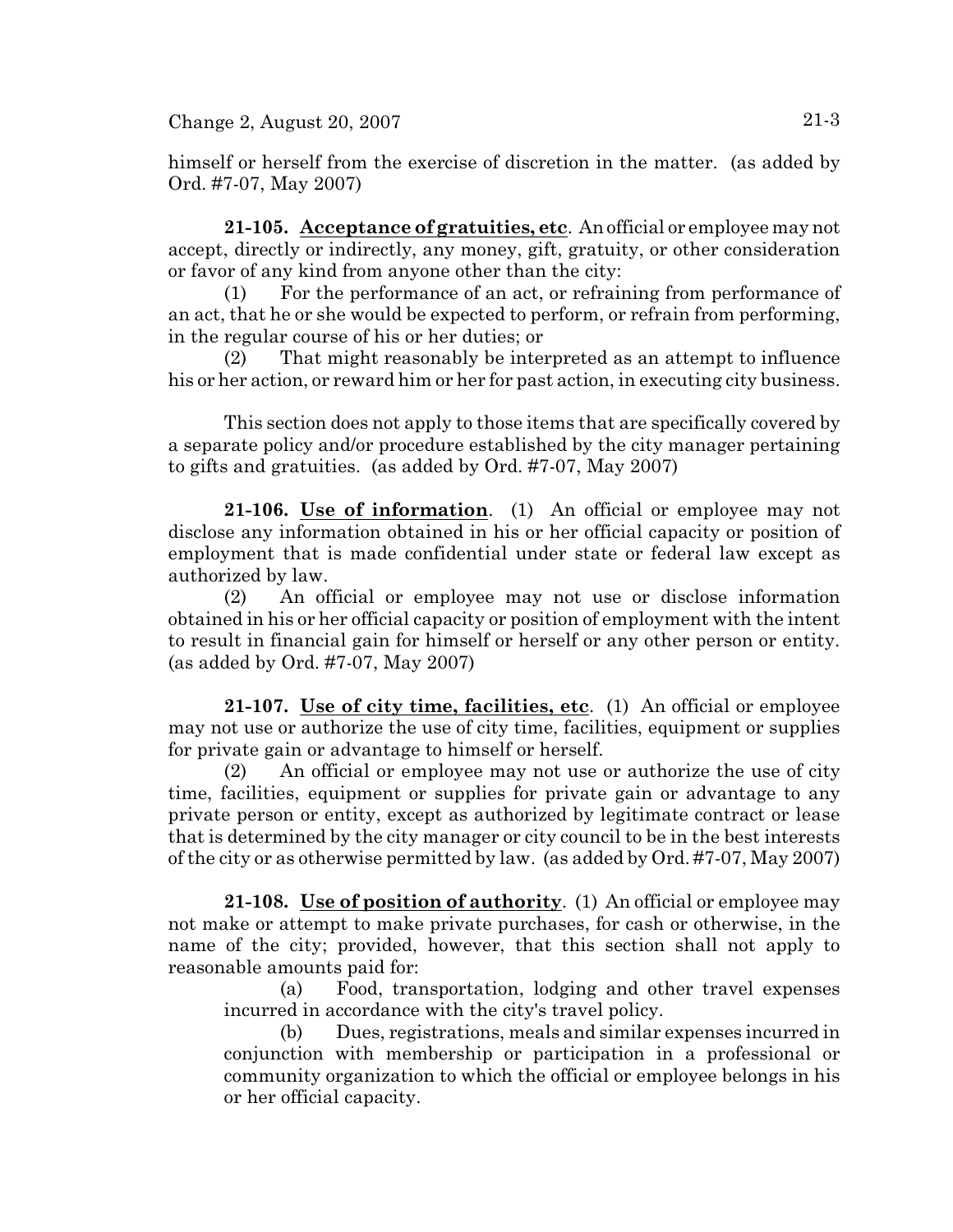Change 2, August 20, 2007 21-3

himself or herself from the exercise of discretion in the matter. (as added by Ord. #7-07, May 2007)

**21-105. Acceptance of gratuities, etc**. An official or employee may not accept, directly or indirectly, any money, gift, gratuity, or other consideration or favor of any kind from anyone other than the city:

(1) For the performance of an act, or refraining from performance of an act, that he or she would be expected to perform, or refrain from performing, in the regular course of his or her duties; or

(2) That might reasonably be interpreted as an attempt to influence his or her action, or reward him or her for past action, in executing city business.

This section does not apply to those items that are specifically covered by a separate policy and/or procedure established by the city manager pertaining to gifts and gratuities. (as added by Ord. #7-07, May 2007)

**21-106. Use of information**. (1) An official or employee may not disclose any information obtained in his or her official capacity or position of employment that is made confidential under state or federal law except as authorized by law.

(2) An official or employee may not use or disclose information obtained in his or her official capacity or position of employment with the intent to result in financial gain for himself or herself or any other person or entity. (as added by Ord. #7-07, May 2007)

**21-107. Use of city time, facilities, etc**. (1) An official or employee may not use or authorize the use of city time, facilities, equipment or supplies for private gain or advantage to himself or herself.

(2) An official or employee may not use or authorize the use of city time, facilities, equipment or supplies for private gain or advantage to any private person or entity, except as authorized by legitimate contract or lease that is determined by the city manager or city council to be in the best interests of the city or as otherwise permitted by law. (as added by Ord. #7-07, May 2007)

**21-108. Use of position of authority**. (1) An official or employee may not make or attempt to make private purchases, for cash or otherwise, in the name of the city; provided, however, that this section shall not apply to reasonable amounts paid for:

(a) Food, transportation, lodging and other travel expenses incurred in accordance with the city's travel policy.

(b) Dues, registrations, meals and similar expenses incurred in conjunction with membership or participation in a professional or community organization to which the official or employee belongs in his or her official capacity.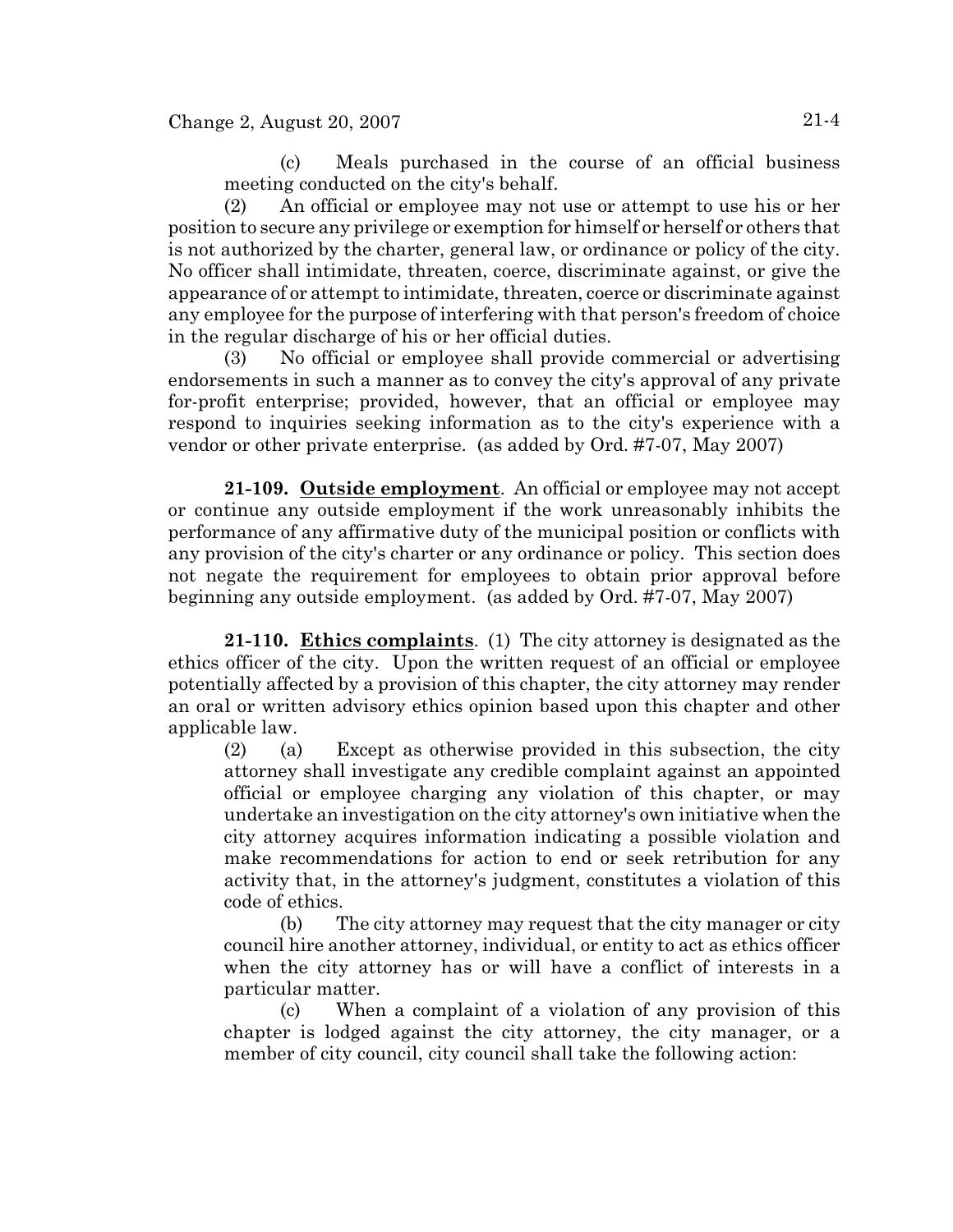(c) Meals purchased in the course of an official business meeting conducted on the city's behalf.

(2) An official or employee may not use or attempt to use his or her position to secure any privilege or exemption for himself or herself or others that is not authorized by the charter, general law, or ordinance or policy of the city. No officer shall intimidate, threaten, coerce, discriminate against, or give the appearance of or attempt to intimidate, threaten, coerce or discriminate against any employee for the purpose of interfering with that person's freedom of choice in the regular discharge of his or her official duties.

(3) No official or employee shall provide commercial or advertising endorsements in such a manner as to convey the city's approval of any private for-profit enterprise; provided, however, that an official or employee may respond to inquiries seeking information as to the city's experience with a vendor or other private enterprise. (as added by Ord. #7-07, May 2007)

**21-109. Outside employment**. An official or employee may not accept or continue any outside employment if the work unreasonably inhibits the performance of any affirmative duty of the municipal position or conflicts with any provision of the city's charter or any ordinance or policy. This section does not negate the requirement for employees to obtain prior approval before beginning any outside employment. (as added by Ord. #7-07, May 2007)

**21-110. Ethics complaints**. (1) The city attorney is designated as the ethics officer of the city. Upon the written request of an official or employee potentially affected by a provision of this chapter, the city attorney may render an oral or written advisory ethics opinion based upon this chapter and other applicable law.

(2) (a) Except as otherwise provided in this subsection, the city attorney shall investigate any credible complaint against an appointed official or employee charging any violation of this chapter, or may undertake an investigation on the city attorney's own initiative when the city attorney acquires information indicating a possible violation and make recommendations for action to end or seek retribution for any activity that, in the attorney's judgment, constitutes a violation of this code of ethics.

(b) The city attorney may request that the city manager or city council hire another attorney, individual, or entity to act as ethics officer when the city attorney has or will have a conflict of interests in a particular matter.

(c) When a complaint of a violation of any provision of this chapter is lodged against the city attorney, the city manager, or a member of city council, city council shall take the following action: